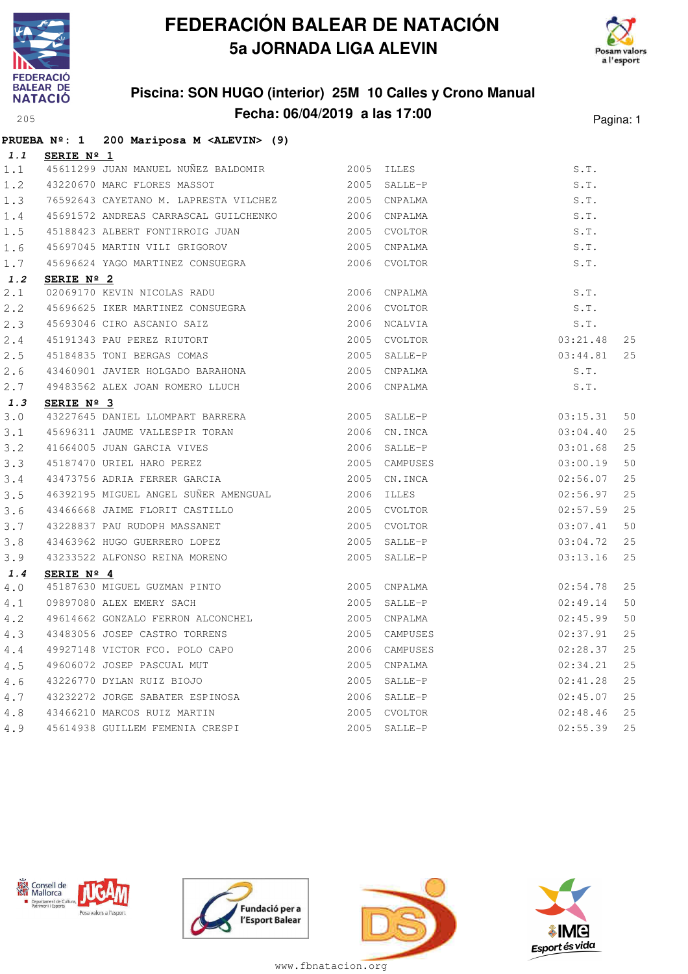

## **FEDERACIÓN BALEAR DE NATACIÓN 5a JORNADA LIGA ALEVIN**



### **Piscina: SON HUGO (interior) 25M 10 Calles y Crono Manual Fecha: 06/04/2019 a las 17:00**<sup>205</sup> Pagina: 1

|             |                   | PRUEBA Nº: 1 200 Mariposa M <alevin> (9)</alevin>                                                 |                |                          |          |    |
|-------------|-------------------|---------------------------------------------------------------------------------------------------|----------------|--------------------------|----------|----|
| 1.1         | <u>SERIE Nº 1</u> |                                                                                                   |                |                          |          |    |
| 1.1         |                   | 45611299 JUAN MANUEL NUÑEZ BALDOMIR<br>2005 ILLES                                                 |                |                          | S.T.     |    |
| 1.2         |                   | 43220670 MARC FLORES MASSOT                                                                       | 2005 SALLE-P   |                          | S.T.     |    |
| 1.3         |                   | 76592643 CAYETANO M. LAPRESTA VILCHEZ 2005 CNPALMA                                                |                |                          | S.T.     |    |
| 1.4         |                   | 45691572 ANDREAS CARRASCAL GUILCHENKO 2006 CNPALMA                                                |                |                          | S.T.     |    |
| 1.5         |                   | 45188423 ALBERT FONTIRROIG JUAN<br>2005 CVOLTOR                                                   |                |                          | S.T.     |    |
| 1.6         |                   | 45697045 MARTIN VILI GRIGOROV                                                                     |                | 2005 CNPALMA             | S.T.     |    |
| 1.7         |                   | 45696624 YAGO MARTINEZ CONSUEGRA                                                                  |                | 2006 CVOLTOR             | S.T.     |    |
| 1.2         | SERIE Nº 2        |                                                                                                   |                |                          |          |    |
| 2.1         |                   | 02069170 KEVIN NICOLAS RADU 6 2006 CNPALMA                                                        |                |                          | S.T.     |    |
| 2.2         |                   | 45696625 IKER MARTINEZ CONSUEGRA 2006 CVOLTOR                                                     |                |                          | S.T.     |    |
| 2.3         |                   | 2006 NCALVIA<br>45693046 CIRO ASCANIO SAIZ                                                        |                |                          | S.T.     |    |
| 2.4         |                   | 45191343 PAU PEREZ RIUTORT                                                                        |                | 03:21.48<br>2005 CVOLTOR |          | 25 |
| 2.5         |                   | 45184835 TONI BERGAS COMAS                                                                        |                | 2005 SALLE-P             | 03:44.81 | 25 |
| 2.6         |                   | 43460901 JAVIER HOLGADO BARAHONA                                                                  |                | 2005 CNPALMA             | S.T.     |    |
| 2.7         |                   | 49483562 ALEX JOAN ROMERO LLUCH                                                                   |                | 2006 CNPALMA             | S.T.     |    |
| 1.3         | SERIE Nº 3        |                                                                                                   |                |                          |          |    |
| 3.0         |                   | 43227645 DANIEL LLOMPART BARRERA                                                                  |                | 2005 SALLE-P             | 03:15.31 | 50 |
| 3.1         |                   |                                                                                                   |                | 2006 CN.INCA             | 03:04.40 | 25 |
| $3 \cdot 2$ |                   | 43227645 DANIDD 2001<br>45696311 JAUME VALLESPIR TORAN<br>41664005 JUAN GARCIA VIVES              |                | 2006 SALLE-P             | 03:01.68 | 25 |
| 3.3         |                   | 45187470 URIEL HARO PEREZ                                                                         |                | 2005 CAMPUSES            | 03:00.19 | 50 |
| 3.4         |                   | 43473756 ADRIA FERRER GARCIA                                                                      |                | 2005 CN.INCA             | 02:56.07 | 25 |
| 3.5         |                   | 46392195 MIGUEL ANGEL SUÑER AMENGUAL                                                              | 2006 ILLES     |                          | 02:56.97 | 25 |
| 3.6         |                   | 43466668 JAIME FLORIT CASTILLO                                                                    |                | 2005 CVOLTOR             | 02:57.59 | 25 |
| 3.7         |                   | 43228837 PAU RUDOPH MASSANET                                                                      |                | 2005 CVOLTOR             | 03:07.41 | 50 |
| 3.8         |                   | 43463962 HUGO GUERRERO LOPEZ                                                                      |                | 2005 SALLE-P             | 03:04.72 | 25 |
| 3.9         |                   | 43233522 ALFONSO REINA MORENO                                                                     |                | 2005 SALLE-P             | 03:13.16 | 25 |
| 1.4         | SERIE Nº 4        |                                                                                                   |                |                          |          |    |
| 4.0         |                   | 45187630 MIGUEL GUZMAN PINTO 2005 CNPALMA                                                         |                |                          | 02:54.78 | 25 |
| 4.1         |                   | 09897080 ALEX EMERY SACH                                                                          | $2005$ SALLE-P |                          | 02:49.14 | 50 |
| 4.2         |                   | 49614662 GONZALO FERRON ALCONCHEL 2005 CNPALMA                                                    |                |                          | 02:45.99 | 50 |
| 4.3         |                   | 43483056 JOSEP CASTRO TORRENS                                                                     |                | 2005 CAMPUSES            | 02:37.91 | 25 |
| 4.4         |                   | 49927148 VICTOR FCO. POLO CAPO                                                                    |                | 2006 CAMPUSES            | 02:28.37 | 25 |
| 4.5         |                   | 49606072 JOSEP PASCUAL MUT                                                                        |                | 2005 CNPALMA             | 02:34.21 | 25 |
| 4.6         |                   | 43226770 DYLAN RUIZ BIOJO                                                                         |                | 2005 SALLE-P             | 02:41.28 | 25 |
| 4.7         |                   |                                                                                                   |                | 2006 SALLE-P             | 02:45.07 | 25 |
| 4.8         |                   | 43232272 JORGE SABATER ESPINOSA<br>43466210 MARCOS RUIZ MARTIN<br>45614938 GUILLEM FEMENIA CRESPI |                | 2005 CVOLTOR             | 02:48.46 | 25 |
| 4.9         |                   |                                                                                                   |                | 2005 SALLE-P             | 02:55.39 | 25 |







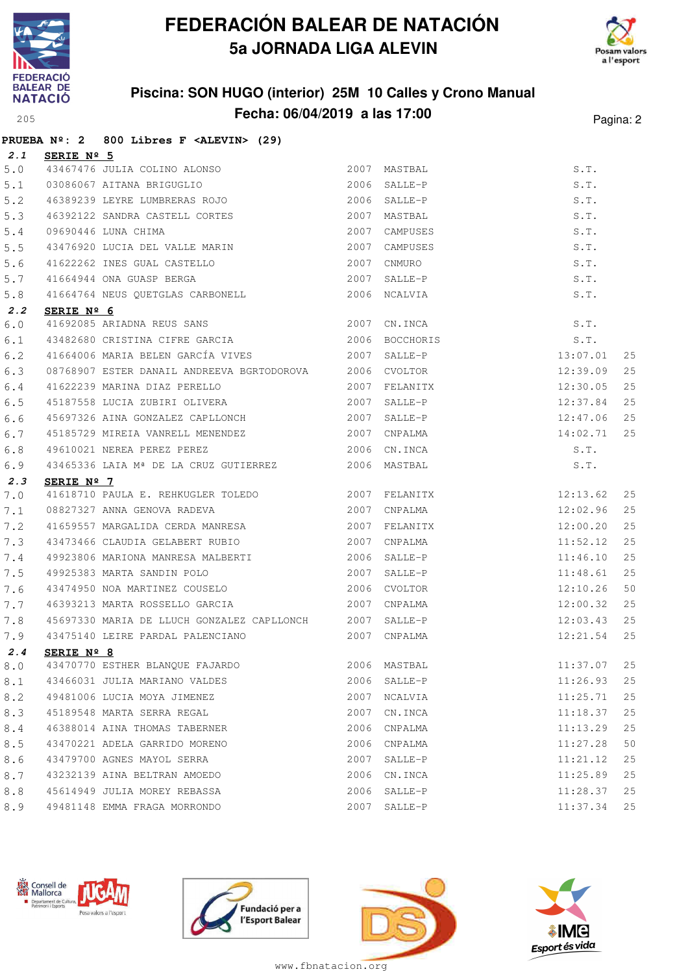

**PRUEBA Nº: 2 800 Libres F <ALEVIN> (29)**

## **FEDERACIÓN BALEAR DE NATACIÓN 5a JORNADA LIGA ALEVIN**



### **Piscina: SON HUGO (interior) 25M 10 Calles y Crono Manual Fecha: 06/04/2019 a las 17:00**<sup>205</sup> Pagina: 2

| 2.1   | SERIE $N^{\circ}$ 5                                       |      |               |          |    |
|-------|-----------------------------------------------------------|------|---------------|----------|----|
| $5.0$ |                                                           |      |               | S.T.     |    |
| 5.1   |                                                           |      |               | S.T.     |    |
| 5.2   | 46389239 LEYRE LUMBRERAS ROJO 2006 SALLE-P                |      |               | S.T.     |    |
| 5.3   | 46392122 SANDRA CASTELL CORTES                            |      | 2007 MASTBAL  | S.T.     |    |
| 5.4   | 09690446 LUNA CHIMA<br>2007                               |      | CAMPUSES      | S.T.     |    |
| 5.5   | 43476920 LUCIA DEL VALLE MARIN 2007                       |      | CAMPUSES      | S.T.     |    |
| 5.6   |                                                           |      |               | S.T.     |    |
| 5.7   |                                                           |      | 2007 SALLE-P  | S.T.     |    |
| 5.8   | 41664764 NEUS QUETGLAS CARBONELL 2006 NCALVIA             |      |               | S.T.     |    |
| 2.2   | SERIE Nº 6                                                |      |               |          |    |
| 6.0   | 41692085 ARIADNA REUS SANS 2007 CN.INCA                   |      |               | S.T.     |    |
| 6.1   | 43482680 CRISTINA CIFRE GARCIA 2006 BOCCHORIS             |      |               | S.T.     |    |
| 6.2   | 41664006 MARIA BELEN GARCÍA VIVES 2007 SALLE-P            |      |               | 13:07.01 | 25 |
| 6.3   | 08768907 ESTER DANAIL ANDREEVA BGRTODOROVA 2006 CVOLTOR   |      |               | 12:39.09 | 25 |
| 6.4   |                                                           |      |               | 12:30.05 | 25 |
| 6.5   |                                                           |      |               | 12:37.84 | 25 |
| 6.6   | 45697326 AINA GONZALEZ CAPLLONCH 2007 SALLE-P             |      |               | 12:47.06 | 25 |
| 6.7   | 45185729 MIREIA VANRELL MENENDEZ 2007 CNPALMA             |      | 14:02.71      |          | 25 |
| 6.8   | 49610021 NEREA PEREZ PEREZ 2006 CN.INCA                   |      |               | S.T.     |    |
| 6.9   | 43465336 LAIA Mª DE LA CRUZ GUTIERREZ 2006 MASTBAL        |      |               | S.T.     |    |
| 2.3   | SERIE $N^{\circ}$ 7                                       |      |               |          |    |
| 7.0   | 41618710 PAULA E. REHKUGLER TOLEDO 2007 FELANITX 12:13.62 |      |               |          | 25 |
| 7.1   | 08827327 ANNA GENOVA RADEVA 2007 CNPALMA                  |      |               | 12:02.96 | 25 |
| 7.2   | 41659557 MARGALIDA CERDA MANRESA 2007 FELANITX            |      |               | 12:00.20 | 25 |
| 7.3   | 43473466 CLAUDIA GELABERT RUBIO                           |      | 2007 CNPALMA  | 11:52.12 | 25 |
| 7.4   | 49923806 MARIONA MANRESA MALBERTI 2006 SALLE-P            |      |               | 11:46.10 | 25 |
| 7.5   | 49925383 MARTA SANDIN POLO 2007 SALLE-P                   |      |               | 11:48.61 | 25 |
| 7.6   | 43474950 NOA MARTINEZ COUSELO<br>2006 CVOLTOR             |      |               | 12:10.26 | 50 |
| 7.7   | 46393213 MARTA ROSSELLO GARCIA                            |      | 2007 CNPALMA  | 12:00.32 | 25 |
| 7.8   | 45697330 MARIA DE LLUCH GONZALEZ CAPLLONCH 2007 SALLE-P   |      |               | 12:03.43 | 25 |
| 7.9   |                                                           |      |               | 12:21.54 | 25 |
| 2.4   | SERIE Nº 8                                                |      |               |          |    |
| 8.0   |                                                           |      | $11:37.07$ 25 |          |    |
| 8.1   | 43466031 JULIA MARIANO VALDES                             |      | 2006 SALLE-P  | 11:26.93 | 25 |
| 8.2   | 49481006 LUCIA MOYA JIMENEZ                               | 2007 | NCALVIA       | 11:25.71 | 25 |
| 8.3   | 45189548 MARTA SERRA REGAL                                | 2007 | CN.INCA       | 11:18.37 | 25 |
| 8.4   | 46388014 AINA THOMAS TABERNER                             | 2006 | CNPALMA       | 11:13.29 | 25 |
| 8.5   | 43470221 ADELA GARRIDO MORENO                             | 2006 | CNPALMA       | 11:27.28 | 50 |
| 8.6   | 43479700 AGNES MAYOL SERRA                                | 2007 | SALLE-P       | 11:21.12 | 25 |
| 8.7   | 43232139 AINA BELTRAN AMOEDO                              | 2006 | CN.INCA       | 11:25.89 | 25 |
| 8.8   | 45614949 JULIA MOREY REBASSA                              | 2006 | SALLE-P       | 11:28.37 | 25 |
| 8.9   | 49481148 EMMA FRAGA MORRONDO                              | 2007 | SALLE-P       | 11:37.34 | 25 |







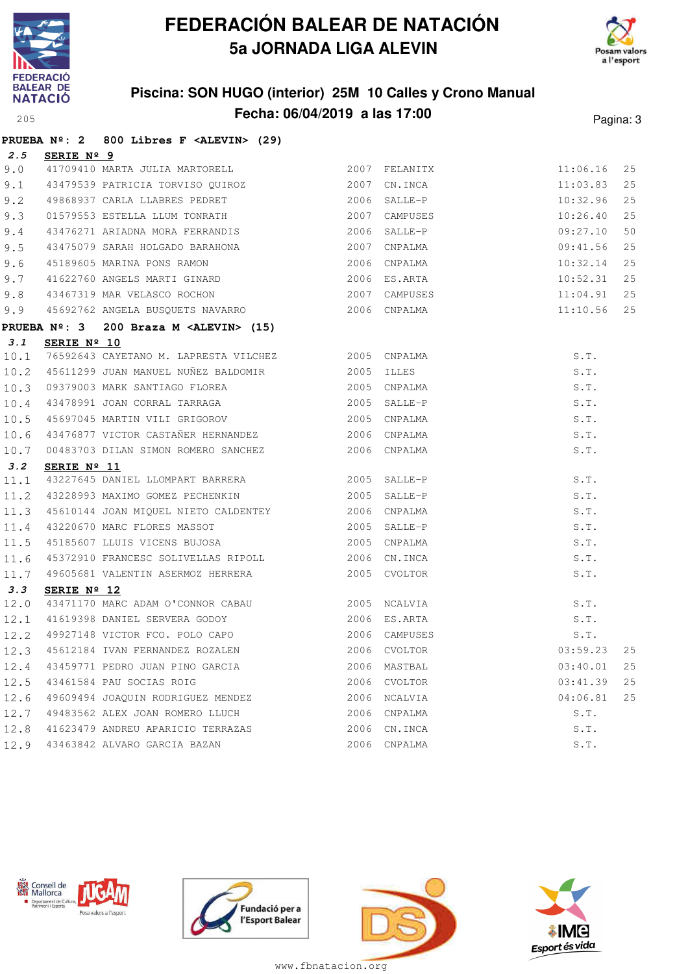

## **FEDERACIÓN BALEAR DE NATACIÓN 5a JORNADA LIGA ALEVIN**



### **Piscina: SON HUGO (interior) 25M 10 Calles y Crono Manual Fecha: 06/04/2019 a las 17:00**<sup>205</sup> Pagina: 3

|      |                      | PRUEBA Nº: 2 800 Libres F <alevin> (29)</alevin>                                                                                                                                                                                       |      |                                 |          |    |
|------|----------------------|----------------------------------------------------------------------------------------------------------------------------------------------------------------------------------------------------------------------------------------|------|---------------------------------|----------|----|
|      | 2.5 SERIE Nº 9       |                                                                                                                                                                                                                                        |      |                                 |          |    |
| 9.0  |                      | 41709410 MARTA JULIA MARTORELL 2007 FELANITX 11:06.16<br>43479539 PATRICIA TORVISO QUIROZ 2007 CN.INCA 11:03.83<br>49868937 CARLA LLABRES PEDRET 2006 SALLE-P 10:32.96<br>01579553 ESTELLA LLUM TONRATH 2007 CAMPUSES 10:26.40<br>4347 |      |                                 |          | 25 |
| 9.1  |                      |                                                                                                                                                                                                                                        |      |                                 |          | 25 |
| 9.2  |                      |                                                                                                                                                                                                                                        |      |                                 |          | 25 |
| 9.3  |                      |                                                                                                                                                                                                                                        |      |                                 |          | 25 |
| 9.4  |                      |                                                                                                                                                                                                                                        |      |                                 |          | 50 |
| 9.5  |                      |                                                                                                                                                                                                                                        |      |                                 |          | 25 |
| 9.6  |                      | 45189605 MARINA PONS RAMON 1999 1999 1999 2006 CNPALMA<br>41622760 ANGELS MARTI GINARD 1999 2006 ES.ARTA                                                                                                                               |      |                                 | 10:32.14 | 25 |
| 9.7  |                      |                                                                                                                                                                                                                                        |      |                                 | 10:52.31 | 25 |
| 9.8  |                      |                                                                                                                                                                                                                                        |      |                                 | 11:04.91 | 25 |
| 9.9  |                      | 41022700 ANGLEE TERRIT SERIES<br>43467319 MAR VELASCO ROCHON 12007 CAMPUSES<br>45692762 ANGELA BUSQUETS NAVARRO 12006 CNPALMA                                                                                                          |      |                                 | 11:10.56 | 25 |
|      |                      | PRUEBA Nº: 3 200 Braza M <alevin> (15)</alevin>                                                                                                                                                                                        |      |                                 |          |    |
| 3.1  | SERIE Nº 10          |                                                                                                                                                                                                                                        |      |                                 |          |    |
|      |                      | 10.1 76592643 CAYETANO M. LAPRESTA VILCHEZ 2005 CNPALMA                                                                                                                                                                                |      |                                 | S.T.     |    |
| 10.2 |                      |                                                                                                                                                                                                                                        |      |                                 | S.T.     |    |
| 10.3 |                      | 09379003 MARK SANTIAGO FLOREA 2005 CNPALMA                                                                                                                                                                                             |      |                                 | S.T.     |    |
| 10.4 |                      | 43478991 JOAN CORRAL TARRAGA 2005 SALLE-P                                                                                                                                                                                              |      |                                 | S.T.     |    |
| 10.5 |                      |                                                                                                                                                                                                                                        |      |                                 | S.T.     |    |
| 10.6 |                      |                                                                                                                                                                                                                                        |      |                                 | S.T.     |    |
| 10.7 |                      | 00483703 DILAN SIMON ROMERO SANCHEZ 2006 CNPALMA                                                                                                                                                                                       |      |                                 | S.T.     |    |
| 3.2  | SERIE Nº 11          |                                                                                                                                                                                                                                        |      |                                 |          |    |
| 11.1 |                      | <b>SERIE Nº II</b><br>43227645 DANIEL LLOMPART BARRERA (2005 SALLE-P                                                                                                                                                                   |      |                                 | S.T.     |    |
| 11.2 |                      |                                                                                                                                                                                                                                        |      |                                 | S.T.     |    |
| 11.3 |                      | 45610144 JOAN MIQUEL NIETO CALDENTEY 2006 CNPALMA                                                                                                                                                                                      |      |                                 | S.T.     |    |
| 11.4 |                      | 43220670 MARC FLORES MASSOT 2005 SALLE-P                                                                                                                                                                                               |      |                                 | S.T.     |    |
| 11.5 |                      | 45185607 LLUIS VICENS BUJOSA 2005 CNPALMA                                                                                                                                                                                              |      |                                 | S.T.     |    |
| 11.6 |                      | 45372910 FRANCESC SOLIVELLAS RIPOLL 2006 CN.INCA                                                                                                                                                                                       |      |                                 | S.T.     |    |
| 11.7 |                      | 49605681 VALENTIN ASERMOZ HERRERA 2005 CVOLTOR                                                                                                                                                                                         |      |                                 | S.T.     |    |
| 3.3  | SERIE $N^{\circ}$ 12 |                                                                                                                                                                                                                                        |      |                                 |          |    |
| 12.0 |                      |                                                                                                                                                                                                                                        |      |                                 |          |    |
|      |                      |                                                                                                                                                                                                                                        |      |                                 |          |    |
|      |                      | 12.1 41619398 DANIEL SERVERA GODOY 2006 ES.ARTA<br>12.2 49927148 VICTOR FCO. POLO CAPO 2006 CAMPUSES<br>12.3 45612184 IVAN FERNANDEZ ROZALEN 2006 CVOLTOR                                                                              |      |                                 |          |    |
|      |                      |                                                                                                                                                                                                                                        |      | S.T.<br>S.T.<br>S.T.<br>03:59.2 | 03:59.23 | 25 |
| 12.4 |                      | 43459771 PEDRO JUAN PINO GARCIA                                                                                                                                                                                                        | 2006 | MASTBAL                         | 03:40.01 | 25 |
| 12.5 |                      | 43461584 PAU SOCIAS ROIG                                                                                                                                                                                                               | 2006 | CVOLTOR                         | 03:41.39 | 25 |
| 12.6 |                      | 49609494 JOAQUIN RODRIGUEZ MENDEZ                                                                                                                                                                                                      |      | 2006 NCALVIA                    | 04:06.81 | 25 |
| 12.7 |                      | 49483562 ALEX JOAN ROMERO LLUCH                                                                                                                                                                                                        | 2006 | CNPALMA                         | S.T.     |    |
| 12.8 |                      | 41623479 ANDREU APARICIO TERRAZAS                                                                                                                                                                                                      | 2006 | CN.INCA                         | S.T.     |    |
| 12.9 |                      | 43463842 ALVARO GARCIA BAZAN                                                                                                                                                                                                           | 2006 | CNPALMA                         | S.T.     |    |







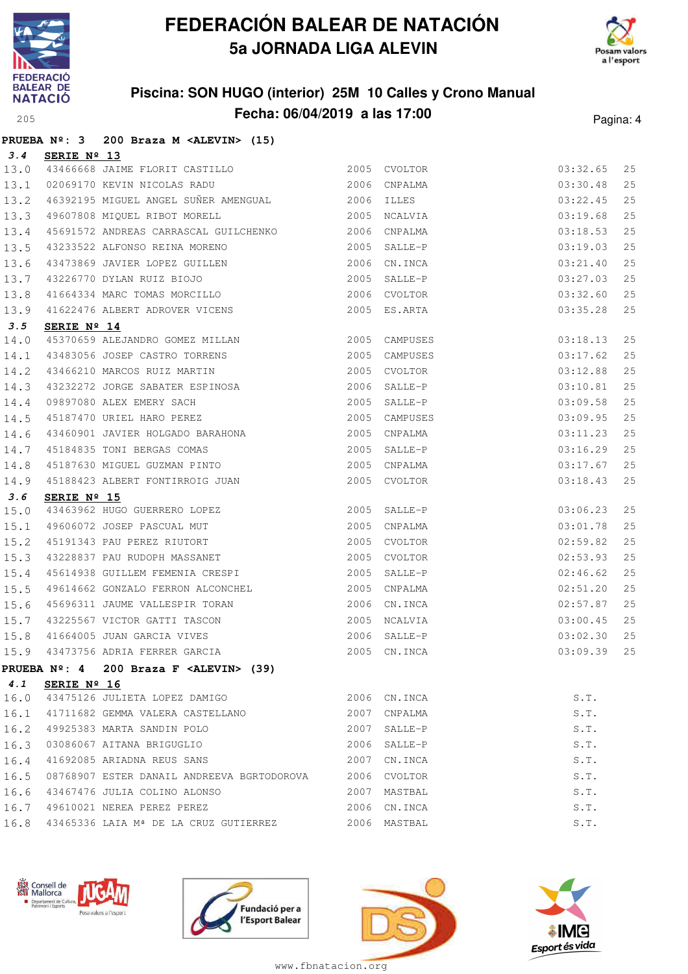

**PRUEBA Nº: 3 200 Braza M <ALEVIN> (15)**

## **FEDERACIÓN BALEAR DE NATACIÓN 5a JORNADA LIGA ALEVIN**



### **Piscina: SON HUGO (interior) 25M 10 Calles y Crono Manual Fecha: 06/04/2019 a las 17:00**<sup>205</sup> Pagina: 4

| 3.4          | SERIE Nº 13                                                                                                                                                                  |      |                                               |    |
|--------------|------------------------------------------------------------------------------------------------------------------------------------------------------------------------------|------|-----------------------------------------------|----|
| 13.0         | 43466668 JAIME FLORIT CASTILLO 2005 CVOLTOR                                                                                                                                  |      | 03:32.65                                      | 25 |
| 13.1         | 2006 CNPALMA<br>02069170 KEVIN NICOLAS RADU                                                                                                                                  |      | 03:30.48                                      | 25 |
| 13.2         | 46392195 MIGUEL ANGEL SUÑER AMENGUAL 2006 ILLES                                                                                                                              |      | 03:22.45                                      | 25 |
| 13.3         | 49607808 MIQUEL RIBOT MORELL 2005 NCALVIA                                                                                                                                    |      | 03:19.68                                      | 25 |
| 13.4         | 45691572 ANDREAS CARRASCAL GUILCHENKO 2006 CNPALMA                                                                                                                           |      | 03:18.53                                      | 25 |
| 13.5         |                                                                                                                                                                              |      | 03:19.03                                      | 25 |
| 13.6         | 43233522 ALFONSO REINA MORENO<br>43473869 JAVIER LOPEZ GUILLEN<br>43226770 DYLAN RUIZ BIOJO<br>41664334 MARC TOMAS MORCILLO<br>41664334 MARC TOMAS MORCILLO<br>42006 CVOLTOR |      | 03:21.40                                      | 25 |
| 13.7         |                                                                                                                                                                              |      | 03:27.03                                      | 25 |
| 13.8         |                                                                                                                                                                              |      | 03:32.60                                      | 25 |
|              | 13.9 41622476 ALBERT ADROVER VICENS 2005 ES.ARTA                                                                                                                             |      | 03:35.28                                      | 25 |
| 3.5          | SERIE $N^{\circ}$ 14                                                                                                                                                         |      |                                               |    |
|              |                                                                                                                                                                              |      | 03:18.13                                      | 25 |
|              | 14.0 45370659 ALEJANDRO GOMEZ MILLAN 2005 CAMPUSES<br>14.1 43483056 JOSEP CASTRO TORRENS 2005 CAMPUSES<br>14.2 43466210 MARCOS RUIZ MARTIN 2005 CVOLTOR                      |      | 03:17.62                                      | 25 |
|              |                                                                                                                                                                              |      | 03:12.88                                      | 25 |
| 14.3         | 43232272 JORGE SABATER ESPINOSA (2006) SALLE-P<br>19897080 ALEX EMERY SACH (2005) SALLE-P<br>1987470 URIEL HARO PEREZ (2005) CAMPUSES                                        |      | 03:10.81                                      | 25 |
| 14.4         |                                                                                                                                                                              |      | 03:09.58                                      | 25 |
| 14.5         | 45187470 URIEL HARO PEREZ                                                                                                                                                    |      | 03:09.95                                      | 25 |
| 14.6         |                                                                                                                                                                              |      | 03:11.23                                      | 25 |
|              | 14.7 45184835 TONI BERGAS COMAS                                                                                                                                              |      | 03:16.29                                      | 25 |
| 14.8         |                                                                                                                                                                              |      | 03:17.67                                      | 25 |
|              | 14.9 45188423 ALBERT FONTIRROIG JUAN 2005 CVOLTOR                                                                                                                            |      | 03:18.43                                      | 25 |
|              |                                                                                                                                                                              |      |                                               |    |
| 3.6          | SERIE $N^{\circ}$ 15                                                                                                                                                         |      |                                               |    |
| 15.0         | 43463962 HUGO GUERRERO LOPEZ 2005 SALLE-P                                                                                                                                    |      | 03:06.23                                      | 25 |
| 15.1         |                                                                                                                                                                              |      | 03:01.78                                      | 25 |
| 15.2         |                                                                                                                                                                              |      | 02:59.82                                      | 25 |
| 15.3         |                                                                                                                                                                              |      | 02:53.93                                      | 25 |
| 15.4         | 45614938 GUILLEM FEMENIA CRESPI 2005 SALLE-P                                                                                                                                 |      | 02:46.62                                      | 25 |
| 15.5         | 49614662 GONZALO FERRON ALCONCHEL 2005 CNPALMA                                                                                                                               |      | 02:51.20                                      | 25 |
| 15.6         |                                                                                                                                                                              |      | 2006 CN.INCA<br>02:57.87                      | 25 |
| 15.7         | 45696311 JAUME VALLESPIR TORAN<br>43885565 ---<br>43225567 VICTOR GATTI TASCON 2005 NCALVIA                                                                                  |      | 03:00.45                                      | 25 |
| 15.8         | 41664005 JUAN GARCIA VIVES                                                                                                                                                   |      | 2006 SALLE-P<br>03:02.30                      | 25 |
|              | 15.9 43473756 ADRIA FERRER GARCIA                                                                                                                                            |      | 2005 CN.INCA<br>03:09.39                      | 25 |
|              | PRUEBA $N^{\circ}$ : 4 200 Braza F <alevin> (39)</alevin>                                                                                                                    |      |                                               |    |
| 4.1          | SERIE $N^{\circ}$ 16                                                                                                                                                         |      |                                               |    |
| 16.0         | 43475126 JULIETA LOPEZ DAMIGO                                                                                                                                                | 2006 | S.T.<br>CN.INCA                               |    |
| 16.1         | 41711682 GEMMA VALERA CASTELLANO                                                                                                                                             | 2007 | CNPALMA<br>S.T.                               |    |
| 16.2         | 49925383 MARTA SANDIN POLO                                                                                                                                                   | 2007 | S.T.<br>SALLE-P                               |    |
| 16.3         | 03086067 AITANA BRIGUGLIO                                                                                                                                                    | 2006 | S.T.<br>SALLE-P                               |    |
| 16.4         | 41692085 ARIADNA REUS SANS                                                                                                                                                   | 2007 | S.T.<br>CN.INCA                               |    |
| 16.5         | 08768907 ESTER DANAIL ANDREEVA BGRTODOROVA                                                                                                                                   |      | 2006 CVOLTOR<br>S.T.                          |    |
| 16.6         | 43467476 JULIA COLINO ALONSO                                                                                                                                                 |      | 2007 MASTBAL<br>S.T.                          |    |
| 16.7<br>16.8 | 49610021 NEREA PEREZ PEREZ<br>43465336 LAIA Mª DE LA CRUZ GUTIERREZ                                                                                                          |      | 2006 CN. INCA<br>S.T.<br>2006 MASTBAL<br>S.T. |    |







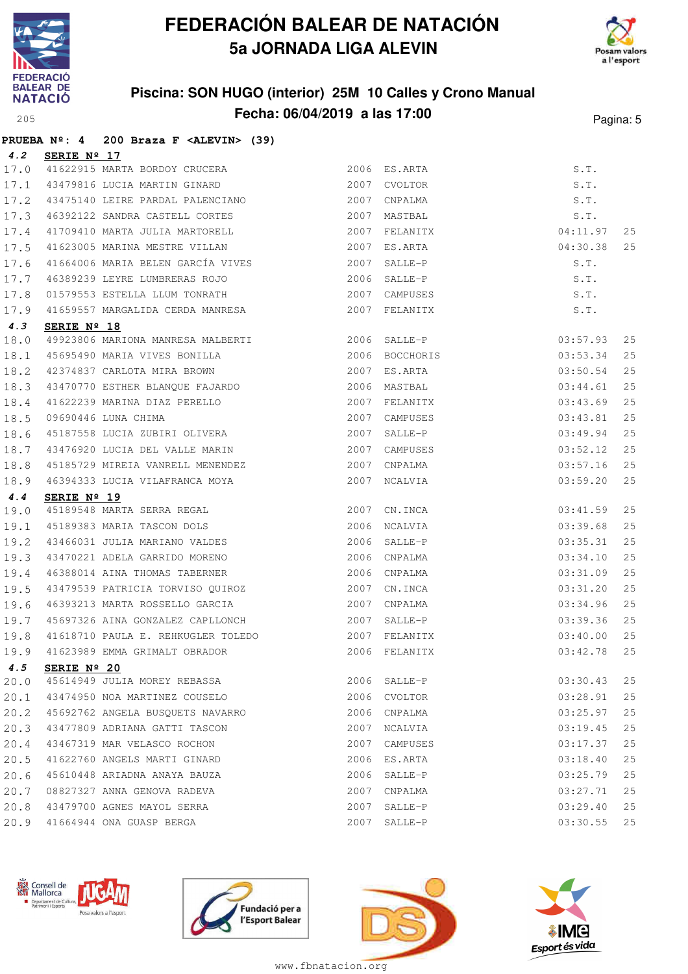

**PRUEBA Nº: 4 200 Braza F <ALEVIN> (39)**

## **FEDERACIÓN BALEAR DE NATACIÓN 5a JORNADA LIGA ALEVIN**



### **Piscina: SON HUGO (interior) 25M 10 Calles y Crono Manual Fecha: 06/04/2019 a las 17:00**<sup>205</sup> Pagina: 5

| 4.2  | SERIE Nº 17                                                                          |      |               |          |    |
|------|--------------------------------------------------------------------------------------|------|---------------|----------|----|
| 17.0 | 11622915 MARTA BORDOY CRUCERA<br>43479816 LUCIA MARTIN GINARD                        |      | 2006 ES.ARTA  | S.T.     |    |
| 17.1 |                                                                                      |      | 2007 CVOLTOR  | S.T.     |    |
| 17.2 | 43475140 LEIRE PARDAL PALENCIANO                                                     |      | 2007 CNPALMA  | S.T.     |    |
| 17.3 | 46392122 SANDRA CASTELL CORTES                                                       | 2007 | MASTBAL       | S.T.     |    |
| 17.4 | 41709410 MARTA JULIA MARTORELL                                                       |      | 2007 FELANITX | 04:11.97 | 25 |
| 17.5 | 41623005 MARINA MESTRE VILLAN                                                        |      | 2007 ES.ARTA  | 04:30.38 | 25 |
| 17.6 | 41664006 MARIA BELEN GARCÍA VIVES 2007                                               |      | SALLE-P       | S.T.     |    |
| 17.7 | 46389239 LEYRE LUMBRERAS ROJO                                                        | 2006 | SALLE-P       | S.T.     |    |
| 17.8 | 01579553 ESTELLA LLUM TONRATH                                                        |      | 2007 CAMPUSES | S.T.     |    |
| 17.9 | 41659557 MARGALIDA CERDA MANRESA                                                     |      | 2007 FELANITX | S.T.     |    |
| 4.3  | SERIE Nº 18                                                                          |      |               |          |    |
| 18.0 | 49923806 MARIONA MANRESA MALBERTI 49923806 SALLE-P                                   |      |               | 03:57.93 | 25 |
| 18.1 |                                                                                      |      |               | 03:53.34 | 25 |
| 18.2 | 45695490 MARIA VIVES BONILLA<br>42374837 CARLOTA MIRA BROWN 2007 ES.ARTA             |      |               | 03:50.54 | 25 |
| 18.3 | 43470770 ESTHER BLANQUE FAJARDO                                                      |      | 2006 MASTBAL  | 03:44.61 | 25 |
| 18.4 |                                                                                      | 2007 | FELANITX      | 03:43.69 | 25 |
| 18.5 |                                                                                      | 2007 | CAMPUSES      | 03:43.81 | 25 |
| 18.6 | 41622239 MARINA DIAZ PERELLO<br>09690446 LUNA CHIMA<br>45187558 LUCIA ZUBIRI OLIVERA | 2007 | SALLE-P       | 03:49.94 | 25 |
| 18.7 | 43476920 LUCIA DEL VALLE MARIN                                                       | 2007 | CAMPUSES      | 03:52.12 | 25 |
| 18.8 | 45185729 MIREIA VANRELL MENENDEZ                                                     | 2007 | CNPALMA       | 03:57.16 | 25 |
| 18.9 | 46394333 LUCIA VILAFRANCA MOYA                                                       | 2007 | NCALVIA       | 03:59.20 | 25 |
| 4.4  | SERIE Nº 19                                                                          |      |               |          |    |
| 19.0 | 15189548 MARTA SERRA REGAL<br>45189383 MARTA TASCON DOLS                             |      | 2007 CN.INCA  | 03:41.59 | 25 |
| 19.1 |                                                                                      | 2006 | NCALVIA       | 03:39.68 | 25 |
| 19.2 | 43466031 JULIA MARIANO VALDES                                                        | 2006 | SALLE-P       | 03:35.31 | 25 |
| 19.3 | 43470221 ADELA GARRIDO MORENO                                                        | 2006 | CNPALMA       | 03:34.10 | 25 |
| 19.4 | 46388014 AINA THOMAS TABERNER                                                        | 2006 | CNPALMA       | 03:31.09 | 25 |
| 19.5 | 43479539 PATRICIA TORVISO QUIROZ                                                     | 2007 | CN.INCA       | 03:31.20 | 25 |
| 19.6 | 46393213 MARTA ROSSELLO GARCIA                                                       | 2007 | CNPALMA       | 03:34.96 | 25 |
| 19.7 | 45697326 AINA GONZALEZ CAPLLONCH                                                     |      | 2007 SALLE-P  | 03:39.36 | 25 |
| 19.8 |                                                                                      |      |               | 03:40.00 | 25 |
| 19.9 | 41623989 EMMA GRIMALT OBRADOR                                                        |      | 2006 FELANITX | 03:42.78 | 25 |
|      | 4.5 SERIE Nº 20                                                                      |      |               |          |    |
| 20.0 | 45614949 JULIA MOREY REBASSA                                                         |      | 2006 SALLE-P  | 03:30.43 | 25 |
| 20.1 | 43474950 NOA MARTINEZ COUSELO                                                        |      | 2006 CVOLTOR  | 03:28.91 | 25 |
| 20.2 | 45692762 ANGELA BUSQUETS NAVARRO                                                     | 2006 | CNPALMA       | 03:25.97 | 25 |
| 20.3 | 43477809 ADRIANA GATTI TASCON                                                        | 2007 | NCALVIA       | 03:19.45 | 25 |
| 20.4 | 43467319 MAR VELASCO ROCHON                                                          | 2007 | CAMPUSES      | 03:17.37 | 25 |
| 20.5 | 41622760 ANGELS MARTI GINARD                                                         | 2006 | ES.ARTA       | 03:18.40 | 25 |
| 20.6 | 45610448 ARIADNA ANAYA BAUZA                                                         | 2006 | SALLE-P       | 03:25.79 | 25 |
| 20.7 | 08827327 ANNA GENOVA RADEVA                                                          | 2007 | CNPALMA       | 03:27.71 | 25 |
|      |                                                                                      |      |               |          |    |
| 20.8 | 43479700 AGNES MAYOL SERRA                                                           | 2007 | SALLE-P       | 03:29.40 | 25 |